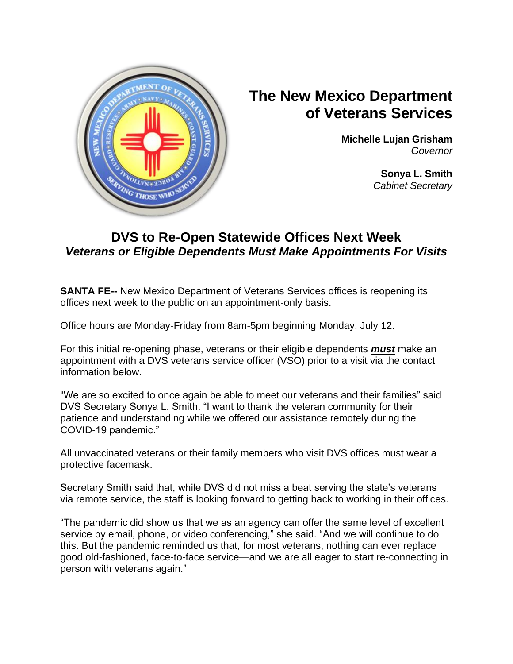

## **The New Mexico Department of Veterans Services**

**Michelle Lujan Grisham** *Governor*

> **Sonya L. Smith**  *Cabinet Secretary*

## **DVS to Re-Open Statewide Offices Next Week** *Veterans or Eligible Dependents Must Make Appointments For Visits*

**SANTA FE--** New Mexico Department of Veterans Services offices is reopening its offices next week to the public on an appointment-only basis.

Office hours are Monday-Friday from 8am-5pm beginning Monday, July 12.

For this initial re-opening phase, veterans or their eligible dependents *must* make an appointment with a DVS veterans service officer (VSO) prior to a visit via the contact information below.

"We are so excited to once again be able to meet our veterans and their families" said DVS Secretary Sonya L. Smith. "I want to thank the veteran community for their patience and understanding while we offered our assistance remotely during the COVID-19 pandemic."

All unvaccinated veterans or their family members who visit DVS offices must wear a protective facemask.

Secretary Smith said that, while DVS did not miss a beat serving the state's veterans via remote service, the staff is looking forward to getting back to working in their offices.

"The pandemic did show us that we as an agency can offer the same level of excellent service by email, phone, or video conferencing," she said. "And we will continue to do this. But the pandemic reminded us that, for most veterans, nothing can ever replace good old-fashioned, face-to-face service—and we are all eager to start re-connecting in person with veterans again."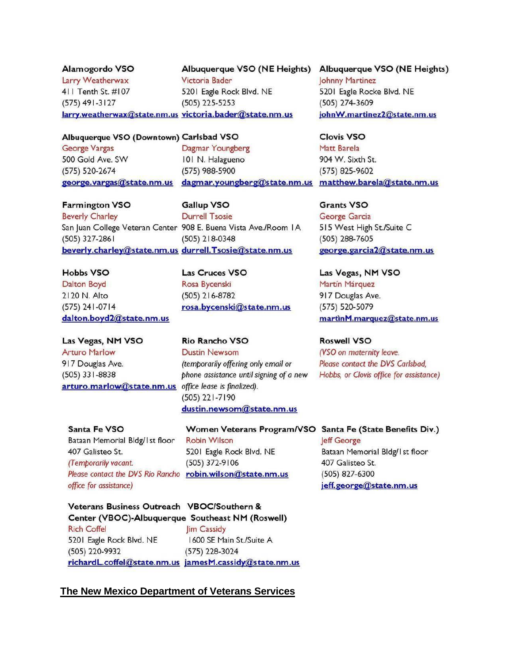Alamogordo VSO Victoria Bader Larry Weatherwax 411 Tenth St. #107  $(575)$  491-3127  $(505)$  225-5253 larry.weatherwax@state.nm.us victoria.bader@state.nm.us

5201 Eagle Rock Blvd. NE

Albuquerque VSO (NE Heights) Albuquerque VSO (NE Heights) Johnny Martinez 5201 Eagle Rocke Blvd. NE (505) 274-3609 johnW.martinez2@state.nm.us

**Clovis VSO** 

904 W. Sixth St.

(575) 825-9602

**Grants VSO** 

George Garcia

(505) 288-7605

Matt Barela

## Albuquerque VSO (Downtown) Carlsbad VSO

**George Vargas** 500 Gold Ave. SW (575) 520-2674

Dagmar Youngberg 101 N. Halagueno (575) 988-5900 george.vargas@state.nm.us dagmar.youngberg@state.nm.us matthew.barela@state.nm.us

**Farmington VSO Gallup VSO Beverly Charley Durrell Tsosie** San Juan College Veteran Center 908 E. Buena Vista Ave./Room IA  $(505)$  327-2861  $(505)$  218-0348 beverly.charley@state.nm.us durrell.Tsosie@state.nm.us

**Hobbs VSO Dalton Boyd** 2120 N. Alto  $(575)$  241-0714 dalton.boyd2@state.nm.us

Las Vegas, NM VSO **Arturo Marlow** 917 Douglas Ave.  $(505)$  331-8838 arturo.marlow@state.nm.us office lease is finalized).

**Las Cruces VSO** Rosa Bycenski (505) 216-8782 rosa.bycenski@state.nm.us

Rio Rancho VSO **Dustin Newsom** (temporarily offering only email or phone assistance until signing of a new (505) 221-7190 dustin.newsom@state.nm.us

Santa Fe VSO Bataan Memorial Bldg/1st floor 407 Galisteo St. (Temborarily vacant.) Please contact the DVS Rio Rancho robin.wilson@state.nm.us office for assistance)

Women Veterans Program/VSO Santa Fe (State Benefits Div.) **Robin Wilson** 5201 Eagle Rock Blvd. NE (505) 372-9106

george.garcia2@state.nm.us Las Vegas, NM VSO Martín Márquez 917 Douglas Ave.

515 West High St./Suite C

(575) 520-5079 martinM.marquez@state.nm.us

**Roswell VSO** (VSO on maternity leave. Please contact the DVS Carlsbad, Hobbs, or Clovis office for assistance)

leff George Bataan Memorial Bldg/1st floor 407 Galisteo St. (505) 827-6300 jeff.george@state.nm.us

Veterans Business Outreach VBOC/Southern & Center (VBOC)-Albuquerque Southeast NM (Roswell) **Rich Coffel** lim Cassidy 1600 SE Main St./Suite A 5201 Eagle Rock Blvd. NE (505) 220-9932  $(575)$  228-3024 richardL.coffel@state.nm.us jamesM.cassidy@state.nm.us

## The New Mexico Department of Veterans Services